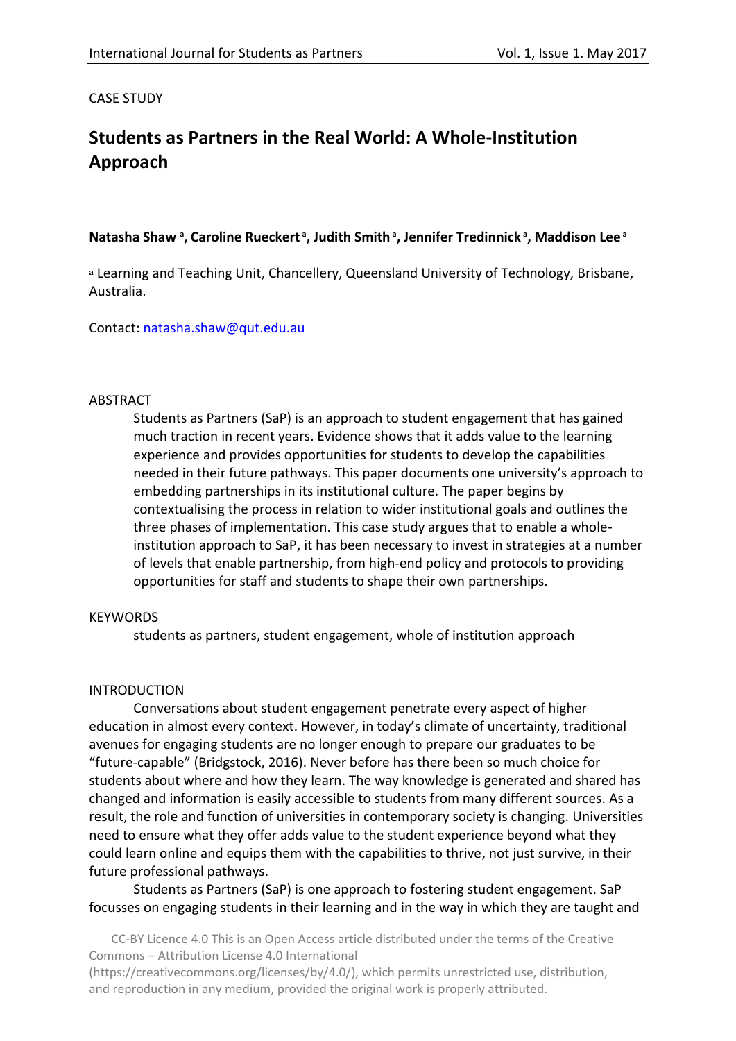### CASE STUDY

# **Students as Partners in the Real World: A Whole-Institution Approach**

### **Natasha Shaw <sup>a</sup> , Caroline Rueckert <sup>a</sup> , Judith Smith <sup>a</sup> , Jennifer Tredinnick <sup>a</sup> , Maddison Lee <sup>a</sup>**

**<sup>a</sup>** Learning and Teaching Unit, Chancellery, Queensland University of Technology, Brisbane, Australia.

Contact: [natasha.shaw@qut.edu.au](mailto:natasha.shaw@qut.edu.au)

#### ABSTRACT

Students as Partners (SaP) is an approach to student engagement that has gained much traction in recent years. Evidence shows that it adds value to the learning experience and provides opportunities for students to develop the capabilities needed in their future pathways. This paper documents one university's approach to embedding partnerships in its institutional culture. The paper begins by contextualising the process in relation to wider institutional goals and outlines the three phases of implementation. This case study argues that to enable a wholeinstitution approach to SaP, it has been necessary to invest in strategies at a number of levels that enable partnership, from high-end policy and protocols to providing opportunities for staff and students to shape their own partnerships.

#### **KEYWORDS**

students as partners, student engagement, whole of institution approach

#### INTRODUCTION

Conversations about student engagement penetrate every aspect of higher education in almost every context. However, in today's climate of uncertainty, traditional avenues for engaging students are no longer enough to prepare our graduates to be "future-capable" (Bridgstock, 2016). Never before has there been so much choice for students about where and how they learn. The way knowledge is generated and shared has changed and information is easily accessible to students from many different sources. As a result, the role and function of universities in contemporary society is changing. Universities need to ensure what they offer adds value to the student experience beyond what they could learn online and equips them with the capabilities to thrive, not just survive, in their future professional pathways.

Students as Partners (SaP) is one approach to fostering student engagement. SaP focusses on engaging students in their learning and in the way in which they are taught and

CC-BY Licence 4.0 This is an Open Access article distributed under the terms of the Creative Commons – Attribution License 4.0 International

[\(https://creativecommons.org/licenses/by/4.0/\)](https://creativecommons.org/licenses/by/4.0/), which permits unrestricted use, distribution, and reproduction in any medium, provided the original work is properly attributed.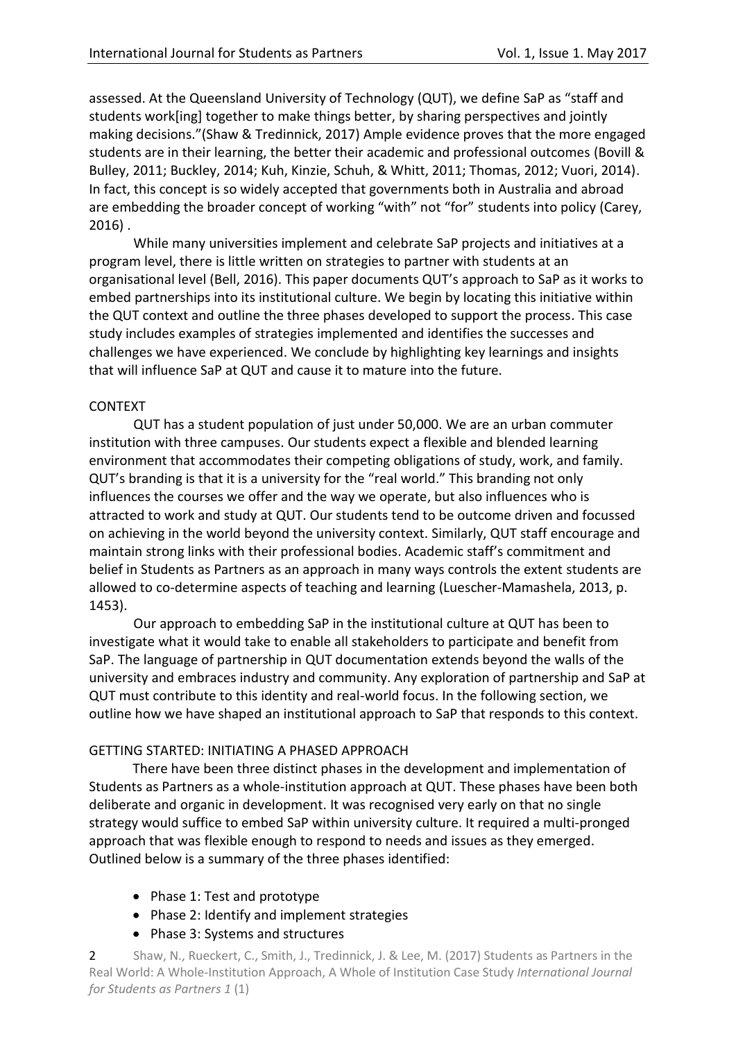assessed. At the Queensland University of Technology (QUT), we define SaP as "staff and students work[ing] together to make things better, by sharing perspectives and jointly making decisions."(Shaw & Tredinnick, 2017) Ample evidence proves that the more engaged students are in their learning, the better their academic and professional outcomes (Bovill & Bulley, 2011; Buckley, 2014; Kuh, Kinzie, Schuh, & Whitt, 2011; Thomas, 2012; Vuori, 2014). In fact, this concept is so widely accepted that governments both in Australia and abroad are embedding the broader concept of working "with" not "for" students into policy (Carey, 2016) .

While many universities implement and celebrate SaP projects and initiatives at a program level, there is little written on strategies to partner with students at an organisational level (Bell, 2016). This paper documents QUT's approach to SaP as it works to embed partnerships into its institutional culture. We begin by locating this initiative within the QUT context and outline the three phases developed to support the process. This case study includes examples of strategies implemented and identifies the successes and challenges we have experienced. We conclude by highlighting key learnings and insights that will influence SaP at QUT and cause it to mature into the future.

## CONTEXT

QUT has a student population of just under 50,000. We are an urban commuter institution with three campuses. Our students expect a flexible and blended learning environment that accommodates their competing obligations of study, work, and family. QUT's branding is that it is a university for the "real world." This branding not only influences the courses we offer and the way we operate, but also influences who is attracted to work and study at QUT. Our students tend to be outcome driven and focussed on achieving in the world beyond the university context. Similarly, QUT staff encourage and maintain strong links with their professional bodies. Academic staff's commitment and belief in Students as Partners as an approach in many ways controls the extent students are allowed to co-determine aspects of teaching and learning (Luescher-Mamashela, 2013, p. 1453).

Our approach to embedding SaP in the institutional culture at QUT has been to investigate what it would take to enable all stakeholders to participate and benefit from SaP. The language of partnership in QUT documentation extends beyond the walls of the university and embraces industry and community. Any exploration of partnership and SaP at QUT must contribute to this identity and real-world focus. In the following section, we outline how we have shaped an institutional approach to SaP that responds to this context.

## GETTING STARTED: INITIATING A PHASED APPROACH

There have been three distinct phases in the development and implementation of Students as Partners as a whole-institution approach at QUT. These phases have been both deliberate and organic in development. It was recognised very early on that no single strategy would suffice to embed SaP within university culture. It required a multi-pronged approach that was flexible enough to respond to needs and issues as they emerged. Outlined below is a summary of the three phases identified:

- Phase 1: Test and prototype
- Phase 2: Identify and implement strategies
- Phase 3: Systems and structures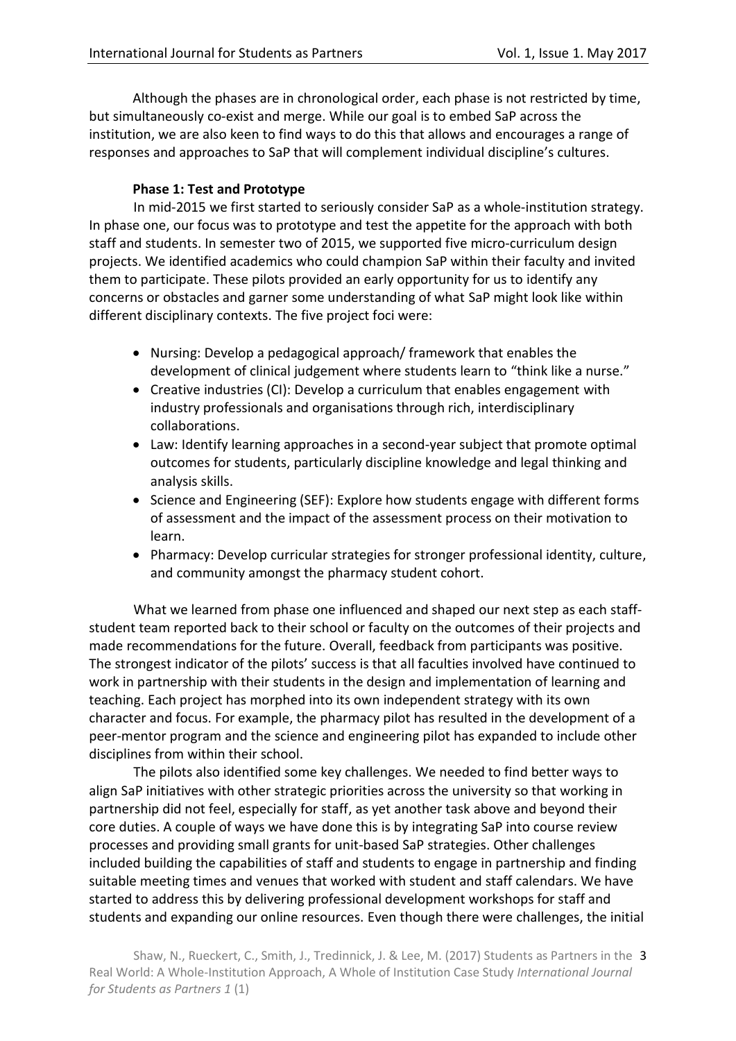Although the phases are in chronological order, each phase is not restricted by time, but simultaneously co-exist and merge. While our goal is to embed SaP across the institution, we are also keen to find ways to do this that allows and encourages a range of responses and approaches to SaP that will complement individual discipline's cultures.

# **Phase 1: Test and Prototype**

In mid-2015 we first started to seriously consider SaP as a whole-institution strategy. In phase one, our focus was to prototype and test the appetite for the approach with both staff and students. In semester two of 2015, we supported five micro-curriculum design projects. We identified academics who could champion SaP within their faculty and invited them to participate. These pilots provided an early opportunity for us to identify any concerns or obstacles and garner some understanding of what SaP might look like within different disciplinary contexts. The five project foci were:

- Nursing: Develop a pedagogical approach/ framework that enables the development of clinical judgement where students learn to "think like a nurse."
- Creative industries (CI): Develop a curriculum that enables engagement with industry professionals and organisations through rich, interdisciplinary collaborations.
- Law: Identify learning approaches in a second-year subject that promote optimal outcomes for students, particularly discipline knowledge and legal thinking and analysis skills.
- Science and Engineering (SEF): Explore how students engage with different forms of assessment and the impact of the assessment process on their motivation to learn.
- Pharmacy: Develop curricular strategies for stronger professional identity, culture, and community amongst the pharmacy student cohort.

What we learned from phase one influenced and shaped our next step as each staffstudent team reported back to their school or faculty on the outcomes of their projects and made recommendations for the future. Overall, feedback from participants was positive. The strongest indicator of the pilots' success is that all faculties involved have continued to work in partnership with their students in the design and implementation of learning and teaching. Each project has morphed into its own independent strategy with its own character and focus. For example, the pharmacy pilot has resulted in the development of a peer-mentor program and the science and engineering pilot has expanded to include other disciplines from within their school.

The pilots also identified some key challenges. We needed to find better ways to align SaP initiatives with other strategic priorities across the university so that working in partnership did not feel, especially for staff, as yet another task above and beyond their core duties. A couple of ways we have done this is by integrating SaP into course review processes and providing small grants for unit-based SaP strategies. Other challenges included building the capabilities of staff and students to engage in partnership and finding suitable meeting times and venues that worked with student and staff calendars. We have started to address this by delivering professional development workshops for staff and students and expanding our online resources. Even though there were challenges, the initial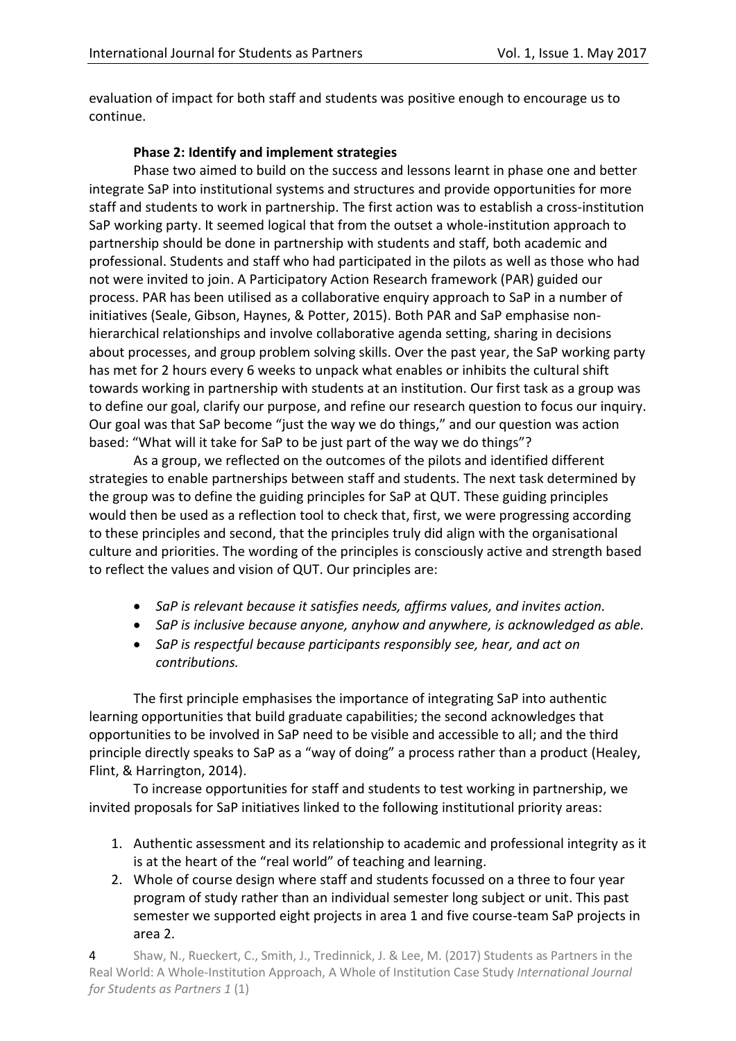evaluation of impact for both staff and students was positive enough to encourage us to continue.

# **Phase 2: Identify and implement strategies**

Phase two aimed to build on the success and lessons learnt in phase one and better integrate SaP into institutional systems and structures and provide opportunities for more staff and students to work in partnership. The first action was to establish a cross-institution SaP working party. It seemed logical that from the outset a whole-institution approach to partnership should be done in partnership with students and staff, both academic and professional. Students and staff who had participated in the pilots as well as those who had not were invited to join. A Participatory Action Research framework (PAR) guided our process. PAR has been utilised as a collaborative enquiry approach to SaP in a number of initiatives (Seale, Gibson, Haynes, & Potter, 2015). Both PAR and SaP emphasise nonhierarchical relationships and involve collaborative agenda setting, sharing in decisions about processes, and group problem solving skills. Over the past year, the SaP working party has met for 2 hours every 6 weeks to unpack what enables or inhibits the cultural shift towards working in partnership with students at an institution. Our first task as a group was to define our goal, clarify our purpose, and refine our research question to focus our inquiry. Our goal was that SaP become "just the way we do things," and our question was action based: "What will it take for SaP to be just part of the way we do things"?

As a group, we reflected on the outcomes of the pilots and identified different strategies to enable partnerships between staff and students. The next task determined by the group was to define the guiding principles for SaP at QUT. These guiding principles would then be used as a reflection tool to check that, first, we were progressing according to these principles and second, that the principles truly did align with the organisational culture and priorities. The wording of the principles is consciously active and strength based to reflect the values and vision of QUT. Our principles are:

- *SaP is relevant because it satisfies needs, affirms values, and invites action.*
- *SaP is inclusive because anyone, anyhow and anywhere, is acknowledged as able.*
- *SaP is respectful because participants responsibly see, hear, and act on contributions.*

The first principle emphasises the importance of integrating SaP into authentic learning opportunities that build graduate capabilities; the second acknowledges that opportunities to be involved in SaP need to be visible and accessible to all; and the third principle directly speaks to SaP as a "way of doing" a process rather than a product (Healey, Flint, & Harrington, 2014).

To increase opportunities for staff and students to test working in partnership, we invited proposals for SaP initiatives linked to the following institutional priority areas:

- 1. Authentic assessment and its relationship to academic and professional integrity as it is at the heart of the "real world" of teaching and learning.
- 2. Whole of course design where staff and students focussed on a three to four year program of study rather than an individual semester long subject or unit. This past semester we supported eight projects in area 1 and five course-team SaP projects in area 2.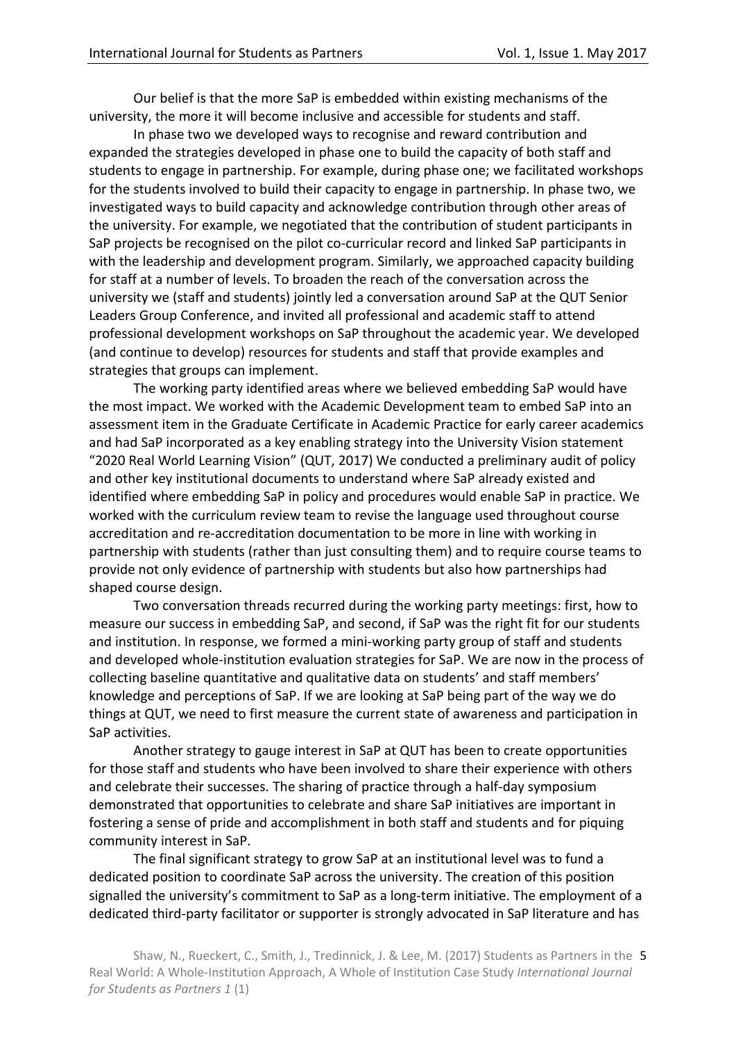Our belief is that the more SaP is embedded within existing mechanisms of the university, the more it will become inclusive and accessible for students and staff.

In phase two we developed ways to recognise and reward contribution and expanded the strategies developed in phase one to build the capacity of both staff and students to engage in partnership. For example, during phase one; we facilitated workshops for the students involved to build their capacity to engage in partnership. In phase two, we investigated ways to build capacity and acknowledge contribution through other areas of the university. For example, we negotiated that the contribution of student participants in SaP projects be recognised on the pilot co-curricular record and linked SaP participants in with the leadership and development program. Similarly, we approached capacity building for staff at a number of levels. To broaden the reach of the conversation across the university we (staff and students) jointly led a conversation around SaP at the QUT Senior Leaders Group Conference, and invited all professional and academic staff to attend professional development workshops on SaP throughout the academic year. We developed (and continue to develop) resources for students and staff that provide examples and strategies that groups can implement.

The working party identified areas where we believed embedding SaP would have the most impact. We worked with the Academic Development team to embed SaP into an assessment item in the Graduate Certificate in Academic Practice for early career academics and had SaP incorporated as a key enabling strategy into the University Vision statement "2020 Real World Learning Vision" (QUT, 2017) We conducted a preliminary audit of policy and other key institutional documents to understand where SaP already existed and identified where embedding SaP in policy and procedures would enable SaP in practice. We worked with the curriculum review team to revise the language used throughout course accreditation and re-accreditation documentation to be more in line with working in partnership with students (rather than just consulting them) and to require course teams to provide not only evidence of partnership with students but also how partnerships had shaped course design.

Two conversation threads recurred during the working party meetings: first, how to measure our success in embedding SaP, and second, if SaP was the right fit for our students and institution. In response, we formed a mini-working party group of staff and students and developed whole-institution evaluation strategies for SaP. We are now in the process of collecting baseline quantitative and qualitative data on students' and staff members' knowledge and perceptions of SaP. If we are looking at SaP being part of the way we do things at QUT, we need to first measure the current state of awareness and participation in SaP activities.

Another strategy to gauge interest in SaP at QUT has been to create opportunities for those staff and students who have been involved to share their experience with others and celebrate their successes. The sharing of practice through a half-day symposium demonstrated that opportunities to celebrate and share SaP initiatives are important in fostering a sense of pride and accomplishment in both staff and students and for piquing community interest in SaP.

The final significant strategy to grow SaP at an institutional level was to fund a dedicated position to coordinate SaP across the university. The creation of this position signalled the university's commitment to SaP as a long-term initiative. The employment of a dedicated third-party facilitator or supporter is strongly advocated in SaP literature and has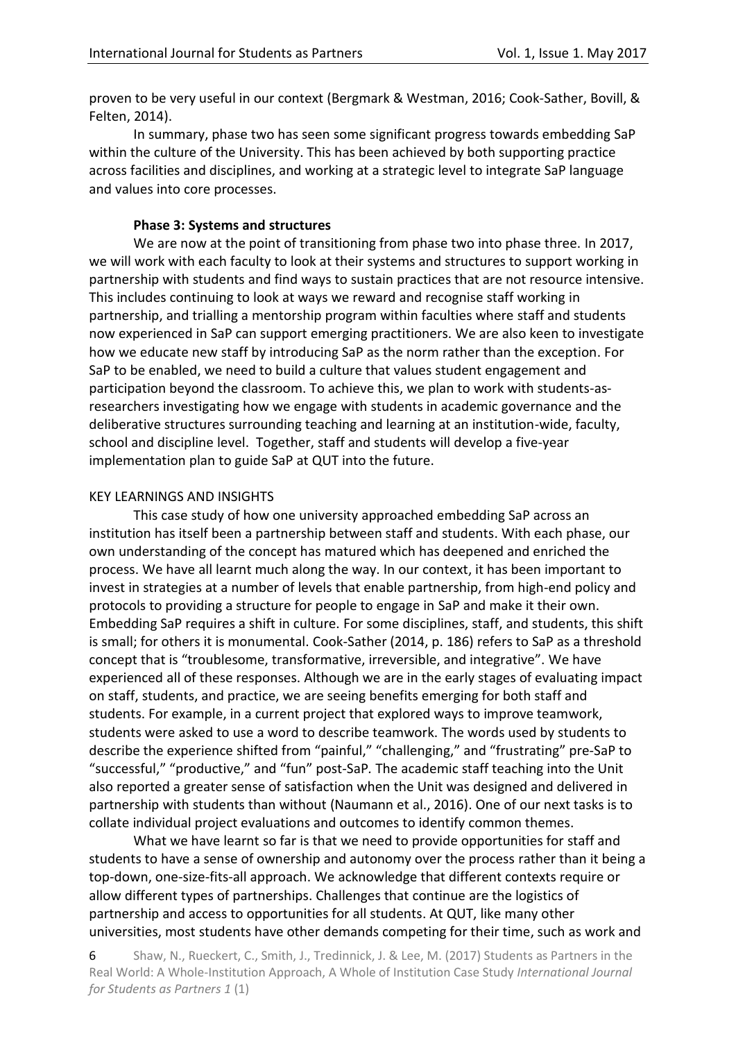proven to be very useful in our context (Bergmark & Westman, 2016; Cook-Sather, Bovill, & Felten, 2014).

In summary, phase two has seen some significant progress towards embedding SaP within the culture of the University. This has been achieved by both supporting practice across facilities and disciplines, and working at a strategic level to integrate SaP language and values into core processes.

#### **Phase 3: Systems and structures**

We are now at the point of transitioning from phase two into phase three. In 2017, we will work with each faculty to look at their systems and structures to support working in partnership with students and find ways to sustain practices that are not resource intensive. This includes continuing to look at ways we reward and recognise staff working in partnership, and trialling a mentorship program within faculties where staff and students now experienced in SaP can support emerging practitioners. We are also keen to investigate how we educate new staff by introducing SaP as the norm rather than the exception. For SaP to be enabled, we need to build a culture that values student engagement and participation beyond the classroom. To achieve this, we plan to work with students-asresearchers investigating how we engage with students in academic governance and the deliberative structures surrounding teaching and learning at an institution-wide, faculty, school and discipline level. Together, staff and students will develop a five-year implementation plan to guide SaP at QUT into the future.

#### KEY LEARNINGS AND INSIGHTS

This case study of how one university approached embedding SaP across an institution has itself been a partnership between staff and students. With each phase, our own understanding of the concept has matured which has deepened and enriched the process. We have all learnt much along the way. In our context, it has been important to invest in strategies at a number of levels that enable partnership, from high-end policy and protocols to providing a structure for people to engage in SaP and make it their own. Embedding SaP requires a shift in culture. For some disciplines, staff, and students, this shift is small; for others it is monumental. Cook-Sather (2014, p. 186) refers to SaP as a threshold concept that is "troublesome, transformative, irreversible, and integrative". We have experienced all of these responses. Although we are in the early stages of evaluating impact on staff, students, and practice, we are seeing benefits emerging for both staff and students. For example, in a current project that explored ways to improve teamwork, students were asked to use a word to describe teamwork. The words used by students to describe the experience shifted from "painful," "challenging," and "frustrating" pre-SaP to "successful," "productive," and "fun" post-SaP*.* The academic staff teaching into the Unit also reported a greater sense of satisfaction when the Unit was designed and delivered in partnership with students than without (Naumann et al., 2016). One of our next tasks is to collate individual project evaluations and outcomes to identify common themes.

What we have learnt so far is that we need to provide opportunities for staff and students to have a sense of ownership and autonomy over the process rather than it being a top-down, one-size-fits-all approach. We acknowledge that different contexts require or allow different types of partnerships. Challenges that continue are the logistics of partnership and access to opportunities for all students. At QUT, like many other universities, most students have other demands competing for their time, such as work and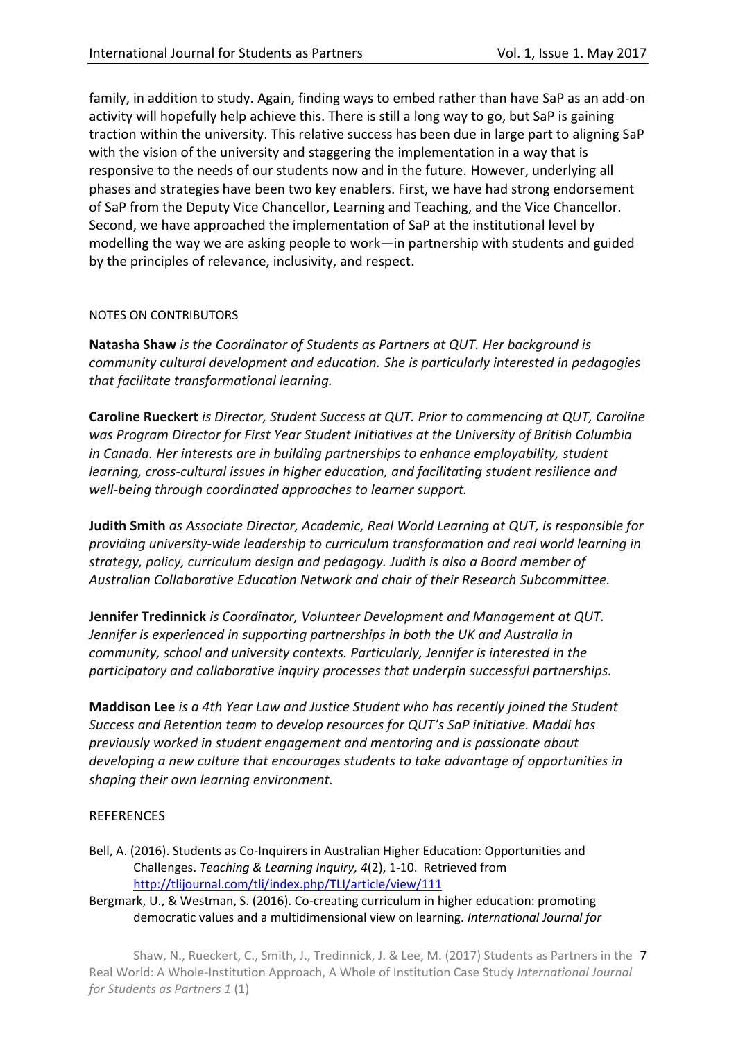family, in addition to study. Again, finding ways to embed rather than have SaP as an add-on activity will hopefully help achieve this. There is still a long way to go, but SaP is gaining traction within the university. This relative success has been due in large part to aligning SaP with the vision of the university and staggering the implementation in a way that is responsive to the needs of our students now and in the future. However, underlying all phases and strategies have been two key enablers. First, we have had strong endorsement of SaP from the Deputy Vice Chancellor, Learning and Teaching, and the Vice Chancellor. Second, we have approached the implementation of SaP at the institutional level by modelling the way we are asking people to work—in partnership with students and guided by the principles of relevance, inclusivity, and respect.

#### NOTES ON CONTRIBUTORS

**Natasha Shaw** *is the Coordinator of Students as Partners at QUT. Her background is community cultural development and education. She is particularly interested in pedagogies that facilitate transformational learning.*

**Caroline Rueckert** *is Director, Student Success at QUT. Prior to commencing at QUT, Caroline was Program Director for First Year Student Initiatives at the University of British Columbia in Canada. Her interests are in building partnerships to enhance employability, student learning, cross-cultural issues in higher education, and facilitating student resilience and well-being through coordinated approaches to learner support.*

**Judith Smith** *as Associate Director, Academic, Real World Learning at QUT, is responsible for providing university-wide leadership to curriculum transformation and real world learning in strategy, policy, curriculum design and pedagogy. Judith is also a Board member of Australian Collaborative Education Network and chair of their Research Subcommittee.*

**Jennifer Tredinnick** *is Coordinator, Volunteer Development and Management at QUT. Jennifer is experienced in supporting partnerships in both the UK and Australia in community, school and university contexts. Particularly, Jennifer is interested in the participatory and collaborative inquiry processes that underpin successful partnerships.*

**Maddison Lee** *is a 4th Year Law and Justice Student who has recently joined the Student Success and Retention team to develop resources for QUT's SaP initiative. Maddi has previously worked in student engagement and mentoring and is passionate about developing a new culture that encourages students to take advantage of opportunities in shaping their own learning environment.*

## **REFERENCES**

- Bell, A. (2016). Students as Co-Inquirers in Australian Higher Education: Opportunities and Challenges. *Teaching & Learning Inquiry, 4*(2), 1-10. Retrieved from <http://tlijournal.com/tli/index.php/TLI/article/view/111>
- Bergmark, U., & Westman, S. (2016). Co-creating curriculum in higher education: promoting democratic values and a multidimensional view on learning. *International Journal for*